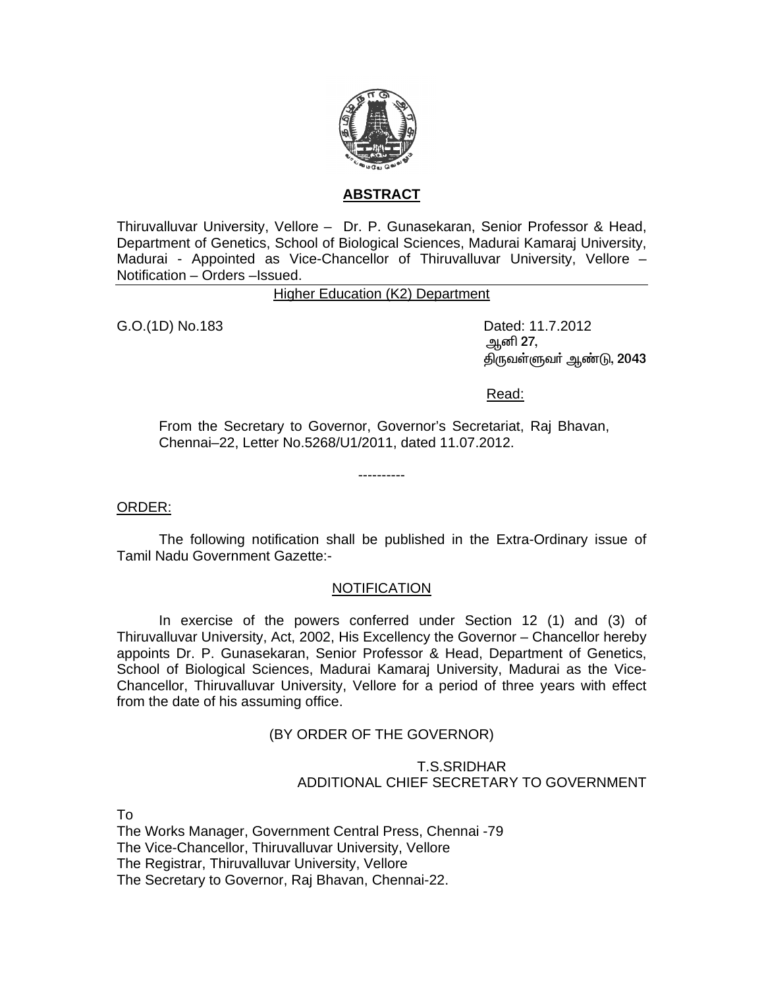

## **ABSTRACT**

Thiruvalluvar University, Vellore – Dr. P. Gunasekaran, Senior Professor & Head, Department of Genetics, School of Biological Sciences, Madurai Kamaraj University, Madurai - Appointed as Vice-Chancellor of Thiruvalluvar University, Vellore – Notification – Orders –Issued.

Higher Education (K2) Department

G.O.(1D) No.183 Dated: 11.7.2012 ஆனி **27**, கிருவள்ளுவர் ஆண்டு, 2043

Read:

From the Secretary to Governor, Governor's Secretariat, Raj Bhavan, Chennai–22, Letter No.5268/U1/2011, dated 11.07.2012.

----------

### ORDER:

 The following notification shall be published in the Extra-Ordinary issue of Tamil Nadu Government Gazette:-

# **NOTIFICATION**

 In exercise of the powers conferred under Section 12 (1) and (3) of Thiruvalluvar University, Act, 2002, His Excellency the Governor – Chancellor hereby appoints Dr. P. Gunasekaran, Senior Professor & Head, Department of Genetics, School of Biological Sciences, Madurai Kamaraj University, Madurai as the Vice-Chancellor, Thiruvalluvar University, Vellore for a period of three years with effect from the date of his assuming office.

# (BY ORDER OF THE GOVERNOR)

## T.S.SRIDHAR ADDITIONAL CHIEF SECRETARY TO GOVERNMENT

To

The Works Manager, Government Central Press, Chennai -79 The Vice-Chancellor, Thiruvalluvar University, Vellore The Registrar, Thiruvalluvar University, Vellore The Secretary to Governor, Raj Bhavan, Chennai-22.